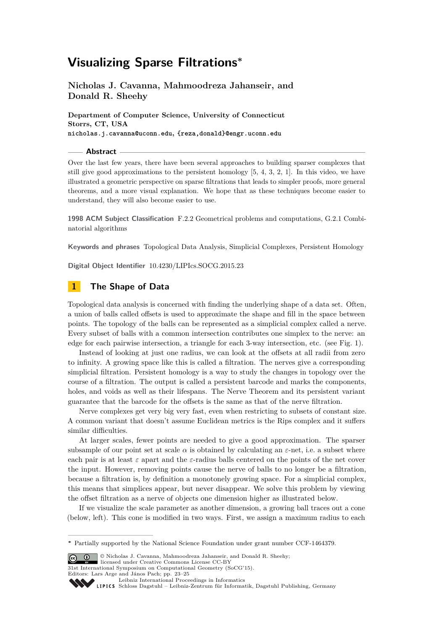# **Visualizing Sparse Filtrations<sup>∗</sup>**

**Nicholas J. Cavanna, Mahmoodreza Jahanseir, and Donald R. Sheehy**

**Department of Computer Science, University of Connecticut Storrs, CT, USA nicholas.j.cavanna@uconn.edu, {reza,donald}@engr.uconn.edu**

#### **Abstract**

Over the last few years, there have been several approaches to building sparser complexes that still give good approximations to the persistent homology [\[5,](#page-2-0) [4,](#page-2-1) [3,](#page-2-2) [2,](#page-2-3) [1\]](#page-2-4). In this video, we have illustrated a geometric perspective on sparse filtrations that leads to simpler proofs, more general theorems, and a more visual explanation. We hope that as these techniques become easier to understand, they will also become easier to use.

**1998 ACM Subject Classification** F.2.2 Geometrical problems and computations, G.2.1 Combinatorial algorithms

**Keywords and phrases** Topological Data Analysis, Simplicial Complexes, Persistent Homology

**Digital Object Identifier** [10.4230/LIPIcs.SOCG.2015.23](http://dx.doi.org/10.4230/LIPIcs.SOCG.2015.23)

## **1 The Shape of Data**

Topological data analysis is concerned with finding the underlying shape of a data set. Often, a union of balls called offsets is used to approximate the shape and fill in the space between points. The topology of the balls can be represented as a simplicial complex called a nerve. Every subset of balls with a common intersection contributes one simplex to the nerve: an edge for each pairwise intersection, a triangle for each 3-way intersection, etc. (see Fig. [1\)](#page-1-0).

Instead of looking at just one radius, we can look at the offsets at all radii from zero to infinity. A growing space like this is called a filtration. The nerves give a corresponding simplicial filtration. Persistent homology is a way to study the changes in topology over the course of a filtration. The output is called a persistent barcode and marks the components, holes, and voids as well as their lifespans. The Nerve Theorem and its persistent variant guarantee that the barcode for the offsets is the same as that of the nerve filtration.

Nerve complexes get very big very fast, even when restricting to subsets of constant size. A common variant that doesn't assume Euclidean metrics is the Rips complex and it suffers similar difficulties.

At larger scales, fewer points are needed to give a good approximation. The sparser subsample of our point set at scale *α* is obtained by calculating an *ε*-net, i.e. a subset where each pair is at least  $\varepsilon$  apart and the  $\varepsilon$ -radius balls centered on the points of the net cover the input. However, removing points cause the nerve of balls to no longer be a filtration, because a filtration is, by definition a monotonely growing space. For a simplicial complex, this means that simplices appear, but never disappear. We solve this problem by viewing the offset filtration as a nerve of objects one dimension higher as illustrated below.

If we visualize the scale parameter as another dimension, a growing ball traces out a cone (below, left). This cone is modified in two ways. First, we assign a maximum radius to each

**<sup>∗</sup>** Partially supported by the National Science Foundation under grant number CCF-1464379.

<sup>©</sup> Nicholas J. Cavanna, Mahmoodreza Jahanseir, and Donald R. Sheehy;

licensed under Creative Commons License CC-BY

<sup>31</sup>st International Symposium on Computational Geometry (SoCG'15). Editors: Lars Arge and János Pach; pp. 23[–25](#page-2-5)

[Leibniz International Proceedings in Informatics](http://www.dagstuhl.de/lipics/)

SCHLOSS Dagstuhl – Leibniz-Zentrum für Informatik, Dagstuhl Publishing, Germany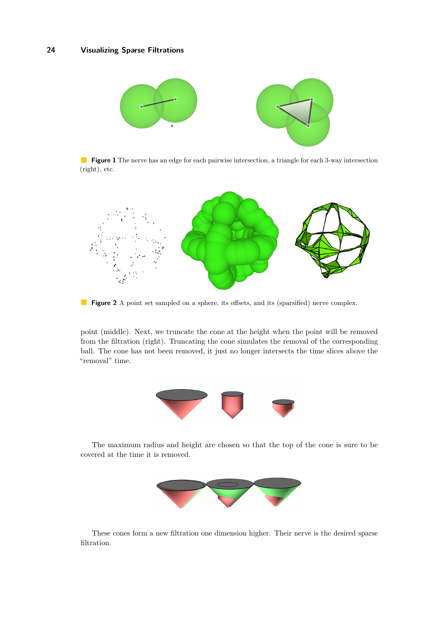<span id="page-1-0"></span>

**Figure 1** The nerve has an edge for each pairwise intersection, a triangle for each 3-way intersection (right), etc.



**Figure 2** A point set sampled on a sphere, its offsets, and its (sparsified) nerve complex.

point (middle). Next, we truncate the cone at the height when the point will be removed from the filtration (right). Truncating the cone simulates the removal of the corresponding ball. The cone has not been removed, it just no longer intersects the time slices above the "removal" time.



The maximum radius and height are chosen so that the top of the cone is sure to be covered at the time it is removed.



These cones form a new filtration one dimension higher. Their nerve is the desired sparse filtration.